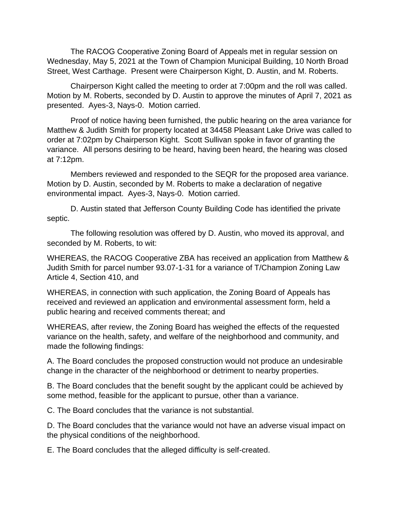The RACOG Cooperative Zoning Board of Appeals met in regular session on Wednesday, May 5, 2021 at the Town of Champion Municipal Building, 10 North Broad Street, West Carthage. Present were Chairperson Kight, D. Austin, and M. Roberts.

Chairperson Kight called the meeting to order at 7:00pm and the roll was called. Motion by M. Roberts, seconded by D. Austin to approve the minutes of April 7, 2021 as presented. Ayes-3, Nays-0. Motion carried.

Proof of notice having been furnished, the public hearing on the area variance for Matthew & Judith Smith for property located at 34458 Pleasant Lake Drive was called to order at 7:02pm by Chairperson Kight. Scott Sullivan spoke in favor of granting the variance. All persons desiring to be heard, having been heard, the hearing was closed at 7:12pm.

Members reviewed and responded to the SEQR for the proposed area variance. Motion by D. Austin, seconded by M. Roberts to make a declaration of negative environmental impact. Ayes-3, Nays-0. Motion carried.

D. Austin stated that Jefferson County Building Code has identified the private septic.

The following resolution was offered by D. Austin, who moved its approval, and seconded by M. Roberts, to wit:

WHEREAS, the RACOG Cooperative ZBA has received an application from Matthew & Judith Smith for parcel number 93.07-1-31 for a variance of T/Champion Zoning Law Article 4, Section 410, and

WHEREAS, in connection with such application, the Zoning Board of Appeals has received and reviewed an application and environmental assessment form, held a public hearing and received comments thereat; and

WHEREAS, after review, the Zoning Board has weighed the effects of the requested variance on the health, safety, and welfare of the neighborhood and community, and made the following findings:

A. The Board concludes the proposed construction would not produce an undesirable change in the character of the neighborhood or detriment to nearby properties.

B. The Board concludes that the benefit sought by the applicant could be achieved by some method, feasible for the applicant to pursue, other than a variance.

C. The Board concludes that the variance is not substantial.

D. The Board concludes that the variance would not have an adverse visual impact on the physical conditions of the neighborhood.

E. The Board concludes that the alleged difficulty is self-created.